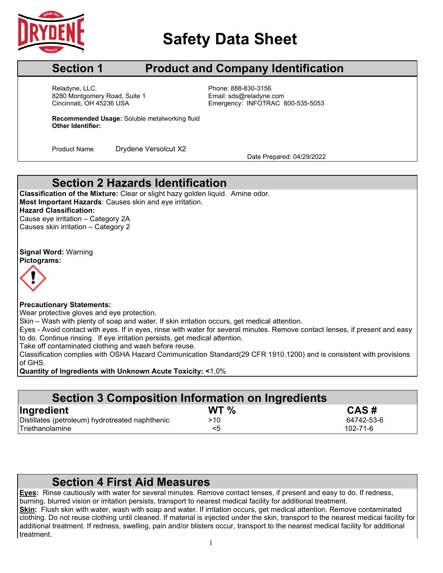

# **Safety Data Sheet**

## **Section 1 Product and Company Identification**

Cincinnati, OH 45236 USA Reladyne, LLC.<br>8280 Montgomery Road, Suite 1 Fissue Email: sds@reladyne.com 8280 Montgomery Road, Suite 1

Emergency: INFOTRAC 800-535-5053

**Recommended Usage:** Soluble metalworking fluid **Other Identifier:**

Product Name: Drydene Versolcut X2 Date Prepared: 04/29/2022

### **Section 2 Hazards Identification**

**Classification of the Mixture:** Clear or slight hazy golden liquid. Amine odor. **Most Important Hazards**: Causes skin and eye irritation. **Hazard Classification:** Cause eye irritation – Category 2A Causes skin irritation – Category 2

**Signal Word:** Warning **Pictograms:**



#### **Precautionary Statements:**

Wear protective gloves and eye protection.

Skin – Wash with plenty of soap and water. If skin irritation occurs, get medical attention.

Eyes - Avoid contact with eyes. If in eyes, rinse with water for several minutes. Remove contact lenses, if present and easy to do. Continue rinsing. If eye irritation persists, get medical attention.

Take off contaminated clothing and wash before reuse.

Classification complies with OSHA Hazard Communication Standard(29 CFR 1910.1200) and is consistent with provisions of GHS.

**Quantity of Ingredients with Unknown Acute Toxicity: <**1.0%

| <b>Section 3 Composition Information on Ingredients</b> |                 |                |  |  |
|---------------------------------------------------------|-----------------|----------------|--|--|
| Ingredient                                              | WT <sub>%</sub> | CAS#           |  |  |
| Distillates (petroleum) hydrotreated naphthenic         | >10             | 64742-53-6     |  |  |
| Triethanolamine                                         | <5              | $102 - 71 - 6$ |  |  |

### **Section 4 First Aid Measures**

**Eyes:** Rinse cautiously with water for several minutes. Remove contact lenses, if present and easy to do. If redness, burning, blurred vision or irritation persists, transport to nearest medical facility for additional treatment. **Skin:** Flush skin with water, wash with soap and water. If irritation occurs, get medical attention. Remove contaminated

clothing. Do not reuse clothing until cleaned. If material is injected under the skin, transport to the nearest medical facility for additional treatment. If redness, swelling, pain and/or blisters occur, transport to the nearest medical facility for additional treatment.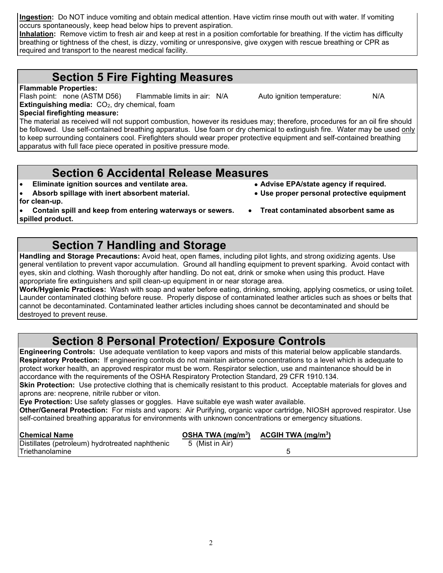**Ingestion:** Do NOT induce vomiting and obtain medical attention. Have victim rinse mouth out with water. If vomiting occurs spontaneously, keep head below hips to prevent aspiration.

**Inhalation:** Remove victim to fresh air and keep at rest in a position comfortable for breathing. If the victim has difficulty breathing or tightness of the chest, is dizzy, vomiting or unresponsive, give oxygen with rescue breathing or CPR as required and transport to the nearest medical facility.

## **Section 5 Fire Fighting Measures**

#### **Flammable Properties:**

Flash point: none (ASTM D56) Flammable limits in air: N/A Auto ignition temperature: N/A **Extinguishing media:** CO<sub>2</sub>, dry chemical, foam

**Special firefighting measure:**

The material as received will not support combustion, however its residues may; therefore, procedures for an oil fire should be followed. Use self-contained breathing apparatus. Use foam or dry chemical to extinguish fire. Water may be used only to keep surrounding containers cool. Firefighters should wear proper protective equipment and self-contained breathing apparatus with full face piece operated in positive pressure mode.

### **Section 6 Accidental Release Measures**

- **Eliminate ignition sources and ventilate area. Advise EPA/state agency if required.**
- **Absorb spillage with inert absorbent material. Use proper personal protective equipment**
- **for clean-up.**

• **Contain spill and keep from entering waterways or sewers.** • **Treat contaminated absorbent same as spilled product.**

**Section 7 Handling and Storage**

**Handling and Storage Precautions:** Avoid heat, open flames, including pilot lights, and strong oxidizing agents. Use general ventilation to prevent vapor accumulation. Ground all handling equipment to prevent sparking. Avoid contact with eyes, skin and clothing. Wash thoroughly after handling. Do not eat, drink or smoke when using this product. Have appropriate fire extinguishers and spill clean-up equipment in or near storage area.

**Work/Hygienic Practices:** Wash with soap and water before eating, drinking, smoking, applying cosmetics, or using toilet. Launder contaminated clothing before reuse. Properly dispose of contaminated leather articles such as shoes or belts that cannot be decontaminated. Contaminated leather articles including shoes cannot be decontaminated and should be destroyed to prevent reuse.

# **Section 8 Personal Protection/ Exposure Controls**

**Engineering Controls:** Use adequate ventilation to keep vapors and mists of this material below applicable standards. **Respiratory Protection:** If engineering controls do not maintain airborne concentrations to a level which is adequate to protect worker health, an approved respirator must be worn. Respirator selection, use and maintenance should be in accordance with the requirements of the OSHA Respiratory Protection Standard, 29 CFR 1910.134.

**Skin Protection:** Use protective clothing that is chemically resistant to this product. Acceptable materials for gloves and aprons are: neoprene, nitrile rubber or viton.

**Eye Protection:** Use safety glasses or goggles. Have suitable eye wash water available.

**Other/General Protection:** For mists and vapors: Air Purifying, organic vapor cartridge, NIOSH approved respirator. Use self-contained breathing apparatus for environments with unknown concentrations or emergency situations.

| Chemical Name<br>Distillates (petroleum) hydrotreated naphthenic | OSHA TWA $(mg/m3)$<br>5 (Mist in Air) | ACGIH TWA $(mg/m3)$ |  |
|------------------------------------------------------------------|---------------------------------------|---------------------|--|
| ITriethanolamine                                                 |                                       |                     |  |

- -
-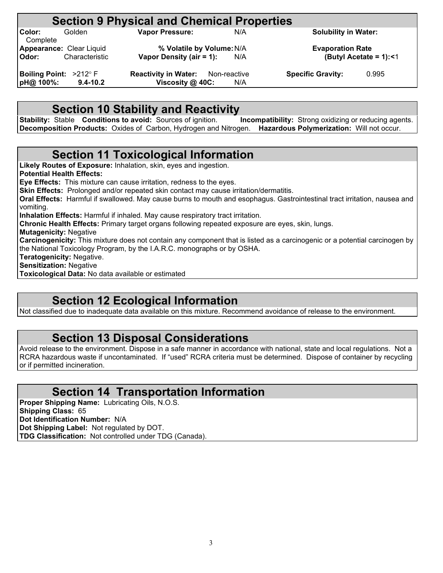# **Section 9 Physical and Chemical Properties**<br>
Vapor Pressure: N/A

**Color:** Golden **Vapor Pressure:** N/A **Solubility in Water:** Complete<br> **Appearance:** Clear Liquid **Appearance:** Clear Liquid **% Volatile by Volume:**N/A **Evaporation Rate**

**Vapor Density (air = 1):** 

**Boiling Point:**  $>212^{\circ}$  **F Reactivity in Water:** Non-reactive **Specific Gravity:** 0.995 **pH@ 100%:** 9.4-10.2 **Viscosity @ 40C:** N/A *b***iscosity @ 40C:** N/A

# **Section 10 Stability and Reactivity**

**Stability:** Stable **Conditions to avoid:** Sources of ignition. **Incompatibility:** Strong oxidizing or reducing agents. **Decomposition Products:** Oxides of Carbon, Hydrogen and Nitrogen. **Hazardous Polymerization:** Will not occur.

### **Section 11 Toxicological Information**

**Likely Routes of Exposure:** Inhalation, skin, eyes and ingestion. **Potential Health Effects: Eye Effects:** This mixture can cause irritation, redness to the eyes. **Skin Effects:** Prolonged and/or repeated skin contact may cause irritation/dermatitis. **Oral Effects:** Harmful if swallowed. May cause burns to mouth and esophagus. Gastrointestinal tract irritation, nausea and vomiting. **Inhalation Effects:** Harmful if inhaled. May cause respiratory tract irritation. **Chronic Health Effects:** Primary target organs following repeated exposure are eyes, skin, lungs. **Mutagenicity:** Negative **Carcinogenicity:** This mixture does not contain any component that is listed as a carcinogenic or a potential carcinogen by the National Toxicology Program, by the I.A.R.C. monographs or by OSHA. **Teratogenicity:** Negative. **Sensitization:** Negative **Toxicological Data:** No data available or estimated

### **Section 12 Ecological Information**

Not classified due to inadequate data available on this mixture. Recommend avoidance of release to the environment.

### **Section 13 Disposal Considerations**

Avoid release to the environment. Dispose in a safe manner in accordance with national, state and local regulations. Not a RCRA hazardous waste if uncontaminated. If "used" RCRA criteria must be determined. Dispose of container by recycling or if permitted incineration.

### **Section 14 Transportation Information**

**Proper Shipping Name:** Lubricating Oils, N.O.S. **Shipping Class:** 65 **Dot Identification Number:** N/A **Dot Shipping Label:** Not regulated by DOT. **TDG Classification:** Not controlled under TDG (Canada).